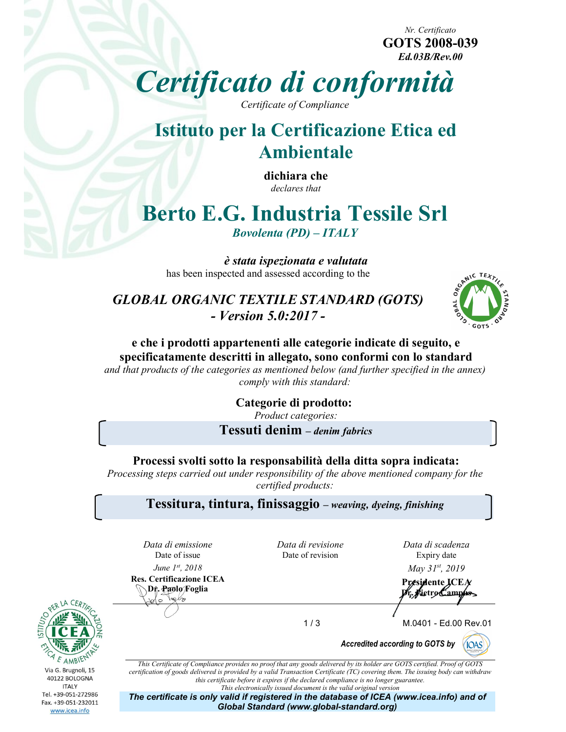Nr. Certificato GOTS 2008-039 Ed.03B/Rev.00

Certificato di conformità

Certificate of Compliance

# Istituto per la Certificazione Etica ed Ambientale

dichiara che declares that

# Berto E.G. Industria Tessile Srl

Bovolenta (PD) – ITALY

è stata ispezionata e valutata has been inspected and assessed according to the

GLOBAL ORGANIC TEXTILE STANDARD (GOTS) - Version 5.0:2017 -



e che i prodotti appartenenti alle categorie indicate di seguito, e specificatamente descritti in allegato, sono conformi con lo standard

and that products of the categories as mentioned below (and further specified in the annex) comply with this standard:

> Categorie di prodotto: Product categories:

Tessuti denim – denim fabrics

Processi svolti sotto la responsabilità della ditta sopra indicata:

Processing steps carried out under responsibility of the above mentioned company for the certified products:

Tessitura, tintura, finissaggio – weaving, dyeing, finishing

Data di emissione<br>Date of issue

Res. Certificazione ICEA lals

Date of issue Date of revision Expiry date Data di revisione

Data di scadenza Expiry date

*June*  $1^{st}$ *, 2018 May 31<sup>st</sup>, 2019* 

Certificazione ICEA<br>Df. Paolo/Foglia Presidente ICEA<br>Df. Paolo/Foglia r. Pietro Campus

1 / 3 M.0401 - Ed.00 Rev.01





www.icea.info

This Certificate of Compliance provides no proof that any goods delivered by its holder are GOTS certified. Proof of GOTS certification of goods delivered is provided by a valid Transaction Certificate (TC) covering them. The issuing body can withdraw this certificate before it expires if the declared compliance is no longer guarantee. This electronically issued document is the valid original version

The certificate is only valid if registered in the database of ICEA (www.icea.info) and of Global Standard (www.global-standard.org)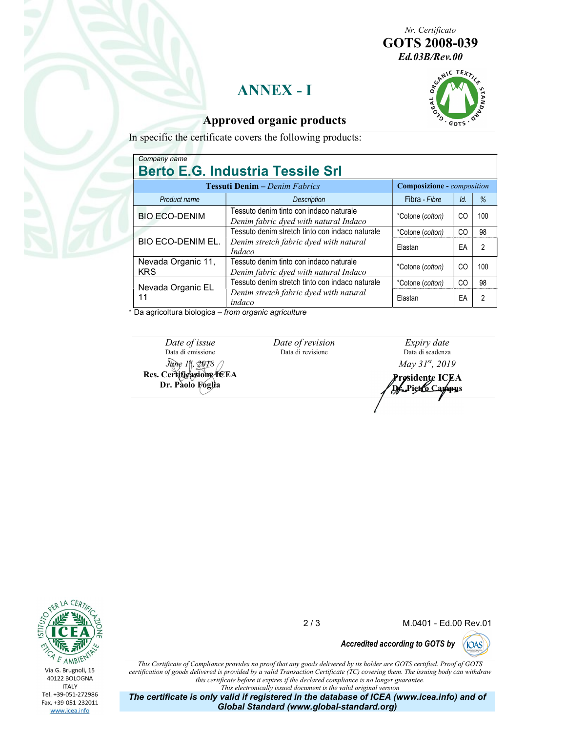Nr. Certificato GOTS 2008-039

# ANNEX - I



#### Approved organic products

In specific the certificate covers the following products:

| Company name<br><b>Berto E.G. Industria Tessile Srl</b> |                                                                                                                            |                                          |                |                |  |  |
|---------------------------------------------------------|----------------------------------------------------------------------------------------------------------------------------|------------------------------------------|----------------|----------------|--|--|
| <b>Tessuti Denim</b> – Denim Fabrics                    |                                                                                                                            | <b>Composizione</b> - <i>composition</i> |                |                |  |  |
| Product name                                            | <b>Description</b>                                                                                                         | Fibra - Fibre                            | Id.            | %              |  |  |
| <b>BIO ECO-DENIM</b>                                    | Tessuto denim tinto con indaco naturale<br>Denim fabric dyed with natural Indaco                                           | *Cotone (cotton)                         | CO             | 100            |  |  |
| <b>BIO ECO-DENIM EL.</b>                                | Tessuto denim stretch tinto con indaco naturale                                                                            | *Cotone (cotton)                         | C <sub>O</sub> | 98             |  |  |
|                                                         | Denim stretch fabric dyed with natural<br>Indaco                                                                           | Elastan                                  | EA             | $\overline{2}$ |  |  |
| Nevada Organic 11,<br><b>KRS</b>                        | Tessuto denim tinto con indaco naturale<br>Denim fabric dyed with natural Indaco                                           | *Cotone (cotton)                         | CO             | 100            |  |  |
| Nevada Organic EL<br>11                                 | Tessuto denim stretch tinto con indaco naturale                                                                            | *Cotone (cotton)                         | C <sub>O</sub> | 98             |  |  |
|                                                         | Denim stretch fabric dyed with natural<br>indaco<br>$\mathbf{r}$ and a contract of the state $\mathbf{u}$ and $\mathbf{r}$ | Elastan                                  | EA             | $\overline{2}$ |  |  |

Da agricoltura biologica – from organic agriculture

Date of issue Date of revision<br>Data di emissione Data di revisione Data di emissione  $\lim_{x \to 0} \frac{1}{t}$ , 2018  $\bigcap$ Res. Certificazione ICEA Dr. Paolo Foglia

Date of revision

Data di revisione Data di scadenza Expiry date May 31st, 2019

Presidente ICEA Dr.Pietro Campus



2 / 3 M.0401 - Ed.00 Rev.01

Accredited according to GOTS by (IOAS)

This Certificate of Compliance provides no proof that any goods delivered by its holder are GOTS certified. Proof of GOTS certification of goods delivered is provided by a valid Transaction Certificate (TC) covering them. The issuing body can withdraw this certificate before it expires if the declared compliance is no longer guarantee. This electronically issued document is the valid original version

The certificate is only valid if registered in the database of ICEA (www.icea.info) and of Global Standard (www.global-standard.org)